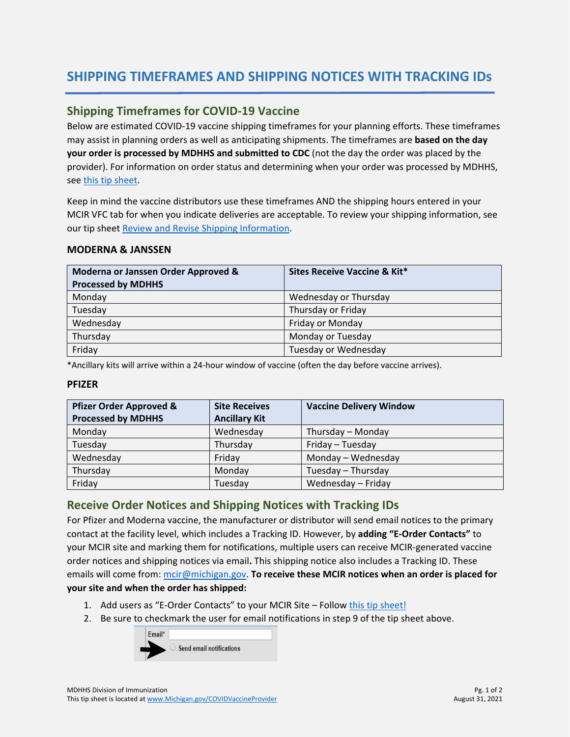# **SHIPPING TIMEFRAMES AND SHIPPING NOTICES WITH TRACKING IDs**

## **Shipping Timeframes for COVID-19 Vaccine**

Below are estimated COVID-19 vaccine shipping timeframes for your planning efforts. These timeframes may assist in planning orders as well as anticipating shipments. The timeframes are **based on the day your order is processed by MDHHS and submitted to CDC** (not the day the order was placed by the provider). For information on order status and determining when your order was processed by MDHHS, se[e this tip sheet.](https://www.michigan.gov/documents/mdhhs/How_to_View_Order_History_and_Order_Status_724741_7.pdf)

Keep in mind the vaccine distributors use these timeframes AND the shipping hours entered in your MCIR VFC tab for when you indicate deliveries are acceptable. To review your shipping information, see our tip shee[t Review and Revise Shipping Information.](https://www.michigan.gov/documents/mdhhs/How_to_Review_and_Revise_Shipping_Information_-_COVID-19_Providers_720323_7.pdf)

### **MODERNA & JANSSEN**

| Moderna or Janssen Order Approved & | Sites Receive Vaccine & Kit* |
|-------------------------------------|------------------------------|
| <b>Processed by MDHHS</b>           |                              |
| Monday                              | Wednesday or Thursday        |
| Tuesday                             | Thursday or Friday           |
| Wednesday                           | Friday or Monday             |
| Thursday                            | Monday or Tuesday            |
| Friday                              | Tuesday or Wednesday         |

\*Ancillary kits will arrive within a 24-hour window of vaccine (often the day before vaccine arrives).

### **PFIZER**

| <b>Pfizer Order Approved &amp;</b> | <b>Site Receives</b> | <b>Vaccine Delivery Window</b> |
|------------------------------------|----------------------|--------------------------------|
| <b>Processed by MDHHS</b>          | <b>Ancillary Kit</b> |                                |
| Monday                             | Wednesday            | Thursday - Monday              |
| Tuesday                            | Thursday             | Friday - Tuesday               |
| Wednesday                          | Friday               | Monday - Wednesday             |
| Thursday                           | Monday               | Tuesday - Thursday             |
| Friday                             | Tuesday              | Wednesday - Friday             |

### **Receive Order Notices and Shipping Notices with Tracking IDs**

For Pfizer and Moderna vaccine, the manufacturer or distributor will send email notices to the primary contact at the facility level, which includes a Tracking ID. However, by **adding "E-Order Contacts"** to your MCIR site and marking them for notifications, multiple users can receive MCIR-generated vaccine order notices and shipping notices via email**.** This shipping notice also includes a Tracking ID. These emails will come from[: mcir@michigan.gov.](mailto:mcir@michigan.gov) **To receive these MCIR notices when an order is placed for your site and when the order has shipped:**

- 1. Add users as "E-Order Contacts" to your MCIR Site Follow [this tip sheet!](https://www.michigan.gov/documents/mdhhs/HowtoAddEOrderOrderContactfinal__12182020_710951_7.pdf)
- 2. Be sure to checkmark the user for email notifications in step 9 of the tip sheet above.